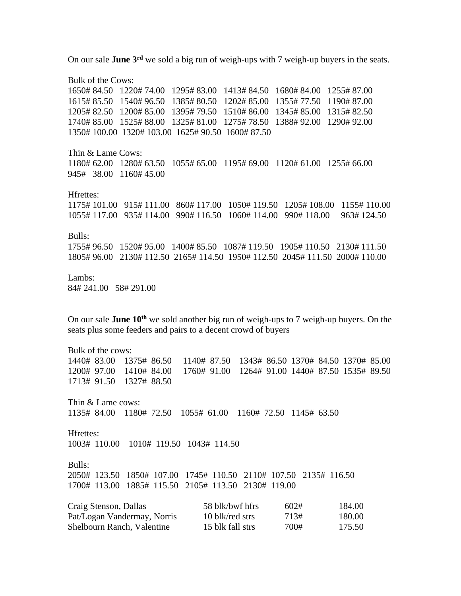On our sale **June 3rd** we sold a big run of weigh-ups with 7 weigh-up buyers in the seats.

Bulk of the Cows: 1650# 84.50 1220# 74.00 1295# 83.00 1413# 84.50 1680# 84.00 1255# 87.00 1615# 85.50 1540# 96.50 1385# 80.50 1202# 85.00 1355# 77.50 1190# 87.00 1205# 82.50 1200# 85.00 1395# 79.50 1510# 86.00 1345# 85.00 1315# 82.50 1740# 85.00 1525# 88.00 1325# 81.00 1275# 78.50 1388# 92.00 1290# 92.00 1350# 100.00 1320# 103.00 1625# 90.50 1600# 87.50 Thin & Lame Cows: 1180# 62.00 1280# 63.50 1055# 65.00 1195# 69.00 1120# 61.00 1255# 66.00 945# 38.00 1160# 45.00 Hfrettes: 1175# 101.00 915# 111.00 860# 117.00 1050# 119.50 1205# 108.00 1155# 110.00 1055# 117.00 935# 114.00 990# 116.50 1060# 114.00 990# 118.00 963# 124.50 Bulls: 1755# 96.50 1520# 95.00 1400# 85.50 1087# 119.50 1905# 110.50 2130# 111.50 1805# 96.00 2130# 112.50 2165# 114.50 1950# 112.50 2045# 111.50 2000# 110.00 Lambs: 84# 241.00 58# 291.00 On our sale **June 10th** we sold another big run of weigh-ups to 7 weigh-up buyers. On the seats plus some feeders and pairs to a decent crowd of buyers Bulk of the cows: 1440# 83.00 1375# 86.50 1140# 87.50 1343# 86.50 1370# 84.50 1370# 85.00 1200# 97.00 1410# 84.00 1760# 91.00 1264# 91.00 1440# 87.50 1535# 89.50 1713# 91.50 1327# 88.50 Thin & Lame cows: 1135# 84.00 1180# 72.50 1055# 61.00 1160# 72.50 1145# 63.50 Hfrettes: 1003# 110.00 1010# 119.50 1043# 114.50 Bulls: 2050# 123.50 1850# 107.00 1745# 110.50 2110# 107.50 2135# 116.50 1700# 113.00 1885# 115.50 2105# 113.50 2130# 119.00 Craig Stenson, Dallas 58 blk/bwf hfrs 602# 184.00 Pat/Logan Vandermay, Norris 10 blk/red strs 713# 180.00 Shelbourn Ranch, Valentine 15 blk fall strs 700# 175.50